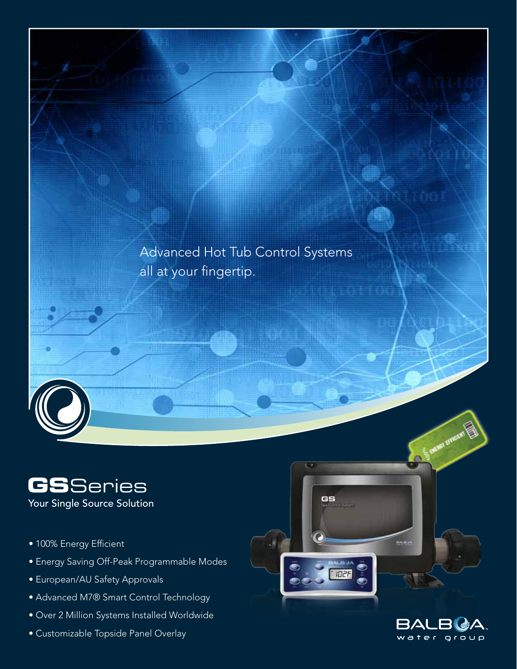

GS

**IDZF** 



# **GS**Series

Your Single Source Solution

- 100% Energy Efficient
- Energy Saving Off-Peak Programmable Modes
- European/AU Safety Approvals
- Advanced M7® Smart Control Technology
- Over 2 Million Systems Installed Worldwide
- Customizable Topside Panel Overlay



a.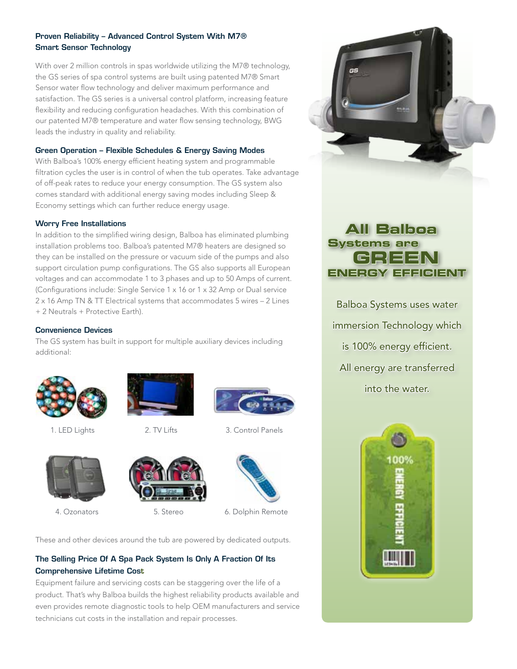#### Proven Reliability – Advanced Control System With M7® Smart Sensor Technology

With over 2 million controls in spas worldwide utilizing the M7® technology, the GS series of spa control systems are built using patented M7® Smart Sensor water flow technology and deliver maximum performance and satisfaction. The GS series is a universal control platform, increasing feature flexibility and reducing configuration headaches. With this combination of our patented M7® temperature and water flow sensing technology, BWG leads the industry in quality and reliability.

#### Green Operation – Flexible Schedules & Energy Saving Modes

With Balboa's 100% energy efficient heating system and programmable filtration cycles the user is in control of when the tub operates. Take advantage of off-peak rates to reduce your energy consumption. The GS system also comes standard with additional energy saving modes including Sleep & Economy settings which can further reduce energy usage.

#### Worry Free Installations

In addition to the simplified wiring design, Balboa has eliminated plumbing installation problems too. Balboa's patented M7® heaters are designed so they can be installed on the pressure or vacuum side of the pumps and also support circulation pump configurations. The GS also supports all European voltages and can accommodate 1 to 3 phases and up to 50 Amps of current. (Configurations include: Single Service 1 x 16 or 1 x 32 Amp or Dual service 2 x 16 Amp TN & TT Electrical systems that accommodates 5 wires – 2 Lines + 2 Neutrals + Protective Earth).

#### Convenience Devices

The GS system has built in support for multiple auxiliary devices including additional:



1. LED Lights 2. TV Lifts 3. Control Panels









4. Ozonators **5. Stereo** 6. Dolphin Remote

These and other devices around the tub are powered by dedicated outputs.

#### The Selling Price Of A Spa Pack System Is Only A Fraction Of Its Comprehensive Lifetime Cost

Equipment failure and servicing costs can be staggering over the life of a product. That's why Balboa builds the highest reliability products available and even provides remote diagnostic tools to help OEM manufacturers and service technicians cut costs in the installation and repair processes.



# **All Balboa Systems are GREEN ENERGY EFFICIENT**

Balboa Systems uses water immersion Technology which is 100% energy efficient. All energy are transferred into the water.

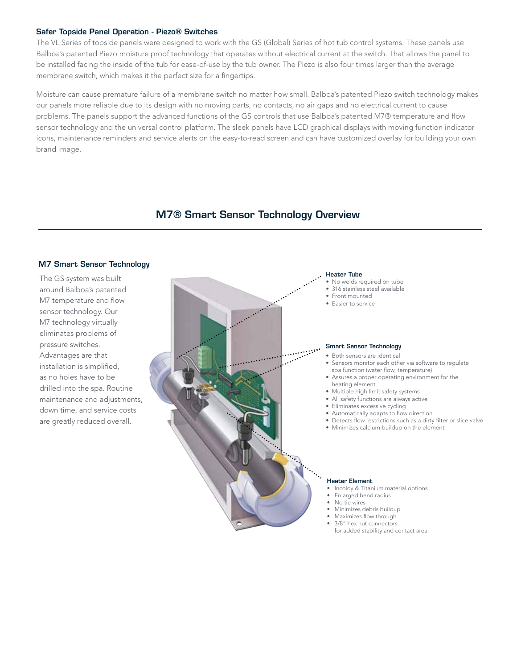#### Safer Topside Panel Operation - Piezo® Switches

The VL Series of topside panels were designed to work with the GS (Global) Series of hot tub control systems. These panels use Balboa's patented Piezo moisture proof technology that operates without electrical current at the switch. That allows the panel to be installed facing the inside of the tub for ease-of-use by the tub owner. The Piezo is also four times larger than the average membrane switch, which makes it the perfect size for a fingertips.

Moisture can cause premature failure of a membrane switch no matter how small. Balboa's patented Piezo switch technology makes our panels more reliable due to its design with no moving parts, no contacts, no air gaps and no electrical current to cause problems. The panels support the advanced functions of the GS controls that use Balboa's patented M7® temperature and flow sensor technology and the universal control platform. The sleek panels have LCD graphical displays with moving function indicator icons, maintenance reminders and service alerts on the easy-to-read screen and can have customized overlay for building your own brand image.

## M7® Smart Sensor Technology Overview

#### M7 Smart Sensor Technology

The GS system was built around Balboa's patented M7 temperature and flow sensor technology. Our M7 technology virtually eliminates problems of pressure switches. Advantages are that installation is simplified, as no holes have to be drilled into the spa. Routine maintenance and adjustments, down time, and service costs are greatly reduced overall.